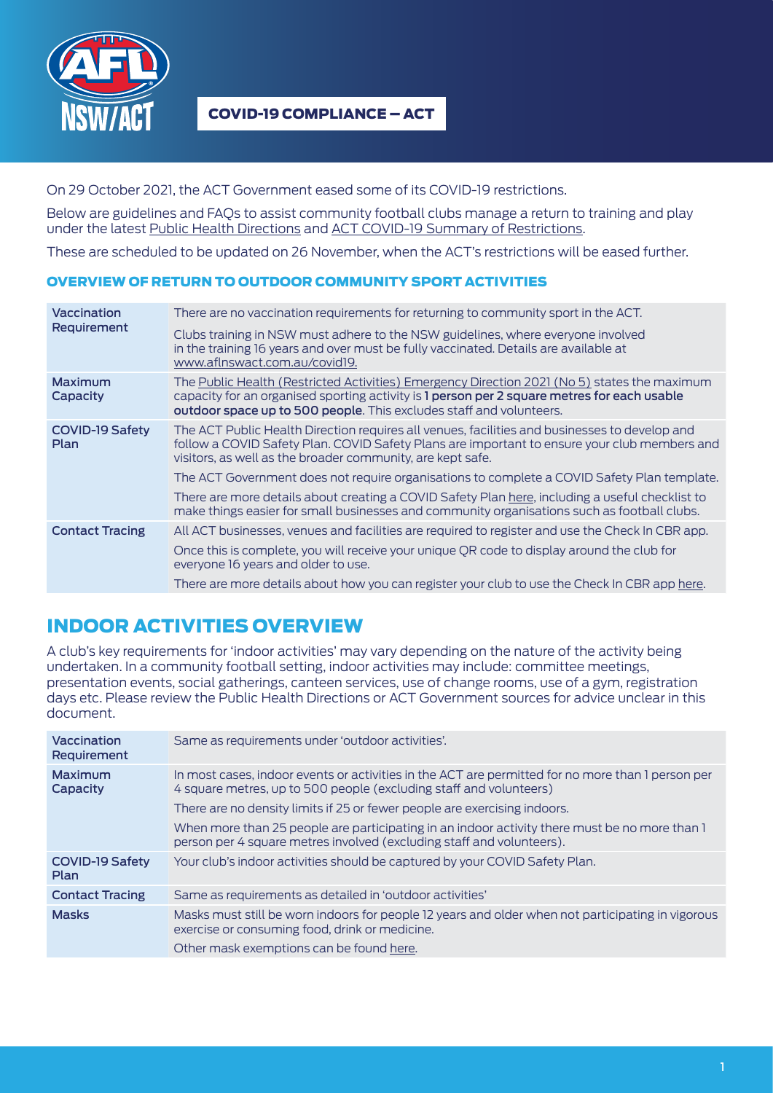

On 29 October 2021, the ACT Government eased some of its COVID-19 restrictions.

Below are guidelines and FAQs to assist community football clubs manage a return to training and play under the latest [Public Health Directions](https://www.covid19.act.gov.au/restrictions/act-public-health-directions) and [ACT COVID-19 Summary of Restrictions.](https://www.covid19.act.gov.au/__data/assets/pdf_file/0010/1889002/Summary-of-Restrictions-FINAL-2-COLUMN-29102021.pdf)

These are scheduled to be updated on 26 November, when the ACT's restrictions will be eased further.

## OVERVIEW OF RETURN TO OUTDOOR COMMUNITY SPORT ACTIVITIES

| Vaccination<br>Requirement     | There are no vaccination requirements for returning to community sport in the ACT.                                                                                                                                                                                 |
|--------------------------------|--------------------------------------------------------------------------------------------------------------------------------------------------------------------------------------------------------------------------------------------------------------------|
|                                | Clubs training in NSW must adhere to the NSW guidelines, where everyone involved<br>in the training 16 years and over must be fully vaccinated. Details are available at<br>www.aflnswact.com.au/covid19.                                                          |
| Maximum<br>Capacity            | The Public Health (Restricted Activities) Emergency Direction 2021 (No 5) states the maximum<br>capacity for an organised sporting activity is 1 person per 2 square metres for each usable<br>outdoor space up to 500 people. This excludes staff and volunteers. |
| <b>COVID-19 Safety</b><br>Plan | The ACT Public Health Direction requires all venues, facilities and businesses to develop and<br>follow a COVID Safety Plan. COVID Safety Plans are important to ensure your club members and<br>visitors, as well as the broader community, are kept safe.        |
|                                | The ACT Government does not require organisations to complete a COVID Safety Plan template.                                                                                                                                                                        |
|                                | There are more details about creating a COVID Safety Plan here, including a useful checklist to<br>make things easier for small businesses and community organisations such as football clubs.                                                                     |
| <b>Contact Tracing</b>         | All ACT businesses, venues and facilities are required to register and use the Check In CBR app.                                                                                                                                                                   |
|                                | Once this is complete, you will receive your unique QR code to display around the club for<br>everyone 16 years and older to use.                                                                                                                                  |
|                                | There are more details about how you can register your club to use the Check In CBR app here.                                                                                                                                                                      |

## INDOOR ACTIVITIES OVERVIEW

A club's key requirements for 'indoor activities' may vary depending on the nature of the activity being undertaken. In a community football setting, indoor activities may include: committee meetings, presentation events, social gatherings, canteen services, use of change rooms, use of a gym, registration days etc. Please review the Public Health Directions or ACT Government sources for advice unclear in this document.

| Vaccination<br>Requirement     | Same as requirements under 'outdoor activities'.                                                                                                                        |
|--------------------------------|-------------------------------------------------------------------------------------------------------------------------------------------------------------------------|
| Maximum<br>Capacity            | In most cases, indoor events or activities in the ACT are permitted for no more than I person per<br>4 square metres, up to 500 people (excluding staff and volunteers) |
|                                | There are no density limits if 25 or fewer people are exercising indoors.                                                                                               |
|                                | When more than 25 people are participating in an indoor activity there must be no more than I<br>person per 4 square metres involved (excluding staff and volunteers).  |
| <b>COVID-19 Safety</b><br>Plan | Your club's indoor activities should be captured by your COVID Safety Plan.                                                                                             |
| <b>Contact Tracing</b>         | Same as requirements as detailed in 'outdoor activities'                                                                                                                |
| <b>Masks</b>                   | Masks must still be worn indoors for people 12 years and older when not participating in vigorous<br>exercise or consuming food, drink or medicine.                     |
|                                | Other mask exemptions can be found here.                                                                                                                                |